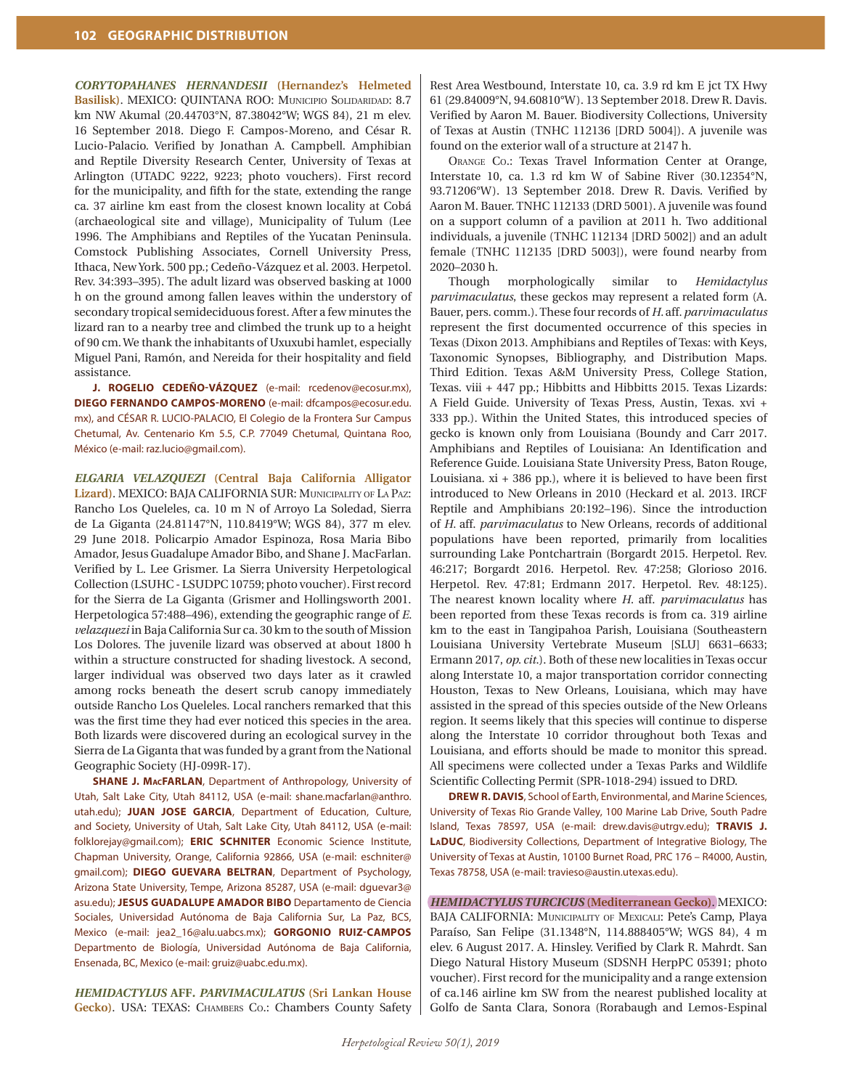*CORYTOPAHANES HERNANDESII* **(Hernandez's Helmeted**  Basilisk). MEXICO: QUINTANA ROO: MUNICIPIO SOLIDARIDAD: 8.7 km NW Akumal (20.44703°N, 87.38042°W; WGS 84), 21 m elev. 16 September 2018. Diego F. Campos-Moreno, and César R. Lucio-Palacio. Verified by Jonathan A. Campbell. Amphibian and Reptile Diversity Research Center, University of Texas at Arlington (UTADC 9222, 9223; photo vouchers). First record for the municipality, and fifth for the state, extending the range ca. 37 airline km east from the closest known locality at Cobá (archaeological site and village), Municipality of Tulum (Lee 1996. The Amphibians and Reptiles of the Yucatan Peninsula. Comstock Publishing Associates, Cornell University Press, Ithaca, New York. 500 pp.; Cedeño-Vázquez et al. 2003. Herpetol. Rev. 34:393–395). The adult lizard was observed basking at 1000 h on the ground among fallen leaves within the understory of secondary tropical semideciduous forest. After a few minutes the lizard ran to a nearby tree and climbed the trunk up to a height of 90 cm. We thank the inhabitants of Uxuxubi hamlet, especially Miguel Pani, Ramón, and Nereida for their hospitality and field assistance.

**J. ROGELIO CEDEÑO-VÁZQUEZ** (e-mail: rcedenov@ecosur.mx), **DIEGO FERNANDO CAMPOS-MORENO** (e-mail: dfcampos@ecosur.edu. mx), and CÉSAR R. LUCIO-PALACIO, El Colegio de la Frontera Sur Campus Chetumal, Av. Centenario Km 5.5, C.P. 77049 Chetumal, Quintana Roo, México (e-mail: raz.lucio@gmail.com).

*ELGARIA VELAZQUEZI* **(Central Baja California Alligator Lizard)**. MEXICO: BAJA CALIFORNIA SUR: MuniCipality oF la paZ: Rancho Los Queleles, ca. 10 m N of Arroyo La Soledad, Sierra de La Giganta (24.81147°N, 110.8419°W; WGS 84), 377 m elev. 29 June 2018. Policarpio Amador Espinoza, Rosa Maria Bibo Amador, Jesus Guadalupe Amador Bibo, and Shane J. MacFarlan. Verified by L. Lee Grismer. La Sierra University Herpetological Collection (LSUHC - LSUDPC 10759; photo voucher). First record for the Sierra de La Giganta (Grismer and Hollingsworth 2001. Herpetologica 57:488–496), extending the geographic range of *E. velazquezi* in Baja California Sur ca. 30 km to the south of Mission Los Dolores. The juvenile lizard was observed at about 1800 h within a structure constructed for shading livestock. A second, larger individual was observed two days later as it crawled among rocks beneath the desert scrub canopy immediately outside Rancho Los Queleles. Local ranchers remarked that this was the first time they had ever noticed this species in the area. Both lizards were discovered during an ecological survey in the Sierra de La Giganta that was funded by a grant from the National Geographic Society (HJ-099R-17).

**SHANE J. MACFARLAN**, Department of Anthropology, University of Utah, Salt Lake City, Utah 84112, USA (e-mail: shane.macfarlan@anthro. utah.edu); **JUAN JOSE GARCIA**, Department of Education, Culture, and Society, University of Utah, Salt Lake City, Utah 84112, USA (e-mail: folklorejay@gmail.com); **ERIC SCHNITER** Economic Science Institute, Chapman University, Orange, California 92866, USA (e-mail: eschniter@ gmail.com); **DIEGO GUEVARA BELTRAN**, Department of Psychology, Arizona State University, Tempe, Arizona 85287, USA (e-mail: dguevar3@ asu.edu); **JESUS GUADALUPE AMADOR BIBO** Departamento de Ciencia Sociales, Universidad Autónoma de Baja California Sur, La Paz, BCS, Mexico (e-mail: jea2\_16@alu.uabcs.mx); **GORGONIO RUIZ-CAMPOS**  Departmento de Biología, Universidad Autónoma de Baja California, Ensenada, BC, Mexico (e-mail: gruiz@uabc.edu.mx).

*HEMIDACTYLUS* **AFF***. PARVIMACULATUS* **(Sri Lankan House Gecko)**. USA: TEXAS: ChaMbers Co.: Chambers County Safety Rest Area Westbound, Interstate 10, ca. 3.9 rd km E jct TX Hwy 61 (29.84009°N, 94.60810°W). 13 September 2018. Drew R. Davis. Verified by Aaron M. Bauer. Biodiversity Collections, University of Texas at Austin (TNHC 112136 [DRD 5004]). A juvenile was found on the exterior wall of a structure at 2147 h.

ORANGE Co.: Texas Travel Information Center at Orange, Interstate 10, ca. 1.3 rd km W of Sabine River (30.12354°N, 93.71206°W). 13 September 2018. Drew R. Davis. Verified by Aaron M. Bauer. TNHC 112133 (DRD 5001). A juvenile was found on a support column of a pavilion at 2011 h. Two additional individuals, a juvenile (TNHC 112134 [DRD 5002]) and an adult female (TNHC 112135 [DRD 5003]), were found nearby from 2020–2030 h.

Though morphologically similar to *Hemidactylus parvimaculatus*, these geckos may represent a related form (A. Bauer, pers. comm.). These four records of *H.* aff*. parvimaculatus* represent the first documented occurrence of this species in Texas (Dixon 2013. Amphibians and Reptiles of Texas: with Keys, Taxonomic Synopses, Bibliography, and Distribution Maps. Third Edition. Texas A&M University Press, College Station, Texas. viii + 447 pp.; Hibbitts and Hibbitts 2015. Texas Lizards: A Field Guide. University of Texas Press, Austin, Texas. xvi + 333 pp.). Within the United States, this introduced species of gecko is known only from Louisiana (Boundy and Carr 2017. Amphibians and Reptiles of Louisiana: An Identification and Reference Guide. Louisiana State University Press, Baton Rouge, Louisiana.  $xi + 386$  pp.), where it is believed to have been first introduced to New Orleans in 2010 (Heckard et al. 2013. IRCF Reptile and Amphibians 20:192–196). Since the introduction of *H.* aff. *parvimaculatus* to New Orleans, records of additional populations have been reported, primarily from localities surrounding Lake Pontchartrain (Borgardt 2015. Herpetol. Rev. 46:217; Borgardt 2016. Herpetol. Rev. 47:258; Glorioso 2016. Herpetol. Rev. 47:81; Erdmann 2017. Herpetol. Rev. 48:125). The nearest known locality where *H.* aff. *parvimaculatus* has been reported from these Texas records is from ca. 319 airline km to the east in Tangipahoa Parish, Louisiana (Southeastern Louisiana University Vertebrate Museum [SLU] 6631–6633; Ermann 2017, *op. cit.*). Both of these new localities in Texas occur along Interstate 10, a major transportation corridor connecting Houston, Texas to New Orleans, Louisiana, which may have assisted in the spread of this species outside of the New Orleans region. It seems likely that this species will continue to disperse along the Interstate 10 corridor throughout both Texas and Louisiana, and efforts should be made to monitor this spread. All specimens were collected under a Texas Parks and Wildlife Scientific Collecting Permit (SPR-1018-294) issued to DRD.

**DREW R. DAVIS**, School of Earth, Environmental, and Marine Sciences, University of Texas Rio Grande Valley, 100 Marine Lab Drive, South Padre Island, Texas 78597, USA (e-mail: drew.davis@utrgv.edu); **TRAVIS J. LADUC**, Biodiversity Collections, Department of Integrative Biology, The University of Texas at Austin, 10100 Burnet Road, PRC 176 – R4000, Austin, Texas 78758, USA (e-mail: travieso@austin.utexas.edu).

*HEMIDACTYLUS TURCICUS* **(Mediterranean Gecko)**. MEXICO: BAJA CALIFORNIA: MUNICIPALITY OF MEXICALI: Pete's Camp, Playa Paraíso, San Felipe (31.1348°N, 114.888405°W; WGS 84), 4 m elev. 6 August 2017. A. Hinsley. Verified by Clark R. Mahrdt. San Diego Natural History Museum (SDSNH HerpPC 05391; photo voucher). First record for the municipality and a range extension of ca.146 airline km SW from the nearest published locality at Golfo de Santa Clara, Sonora (Rorabaugh and Lemos-Espinal